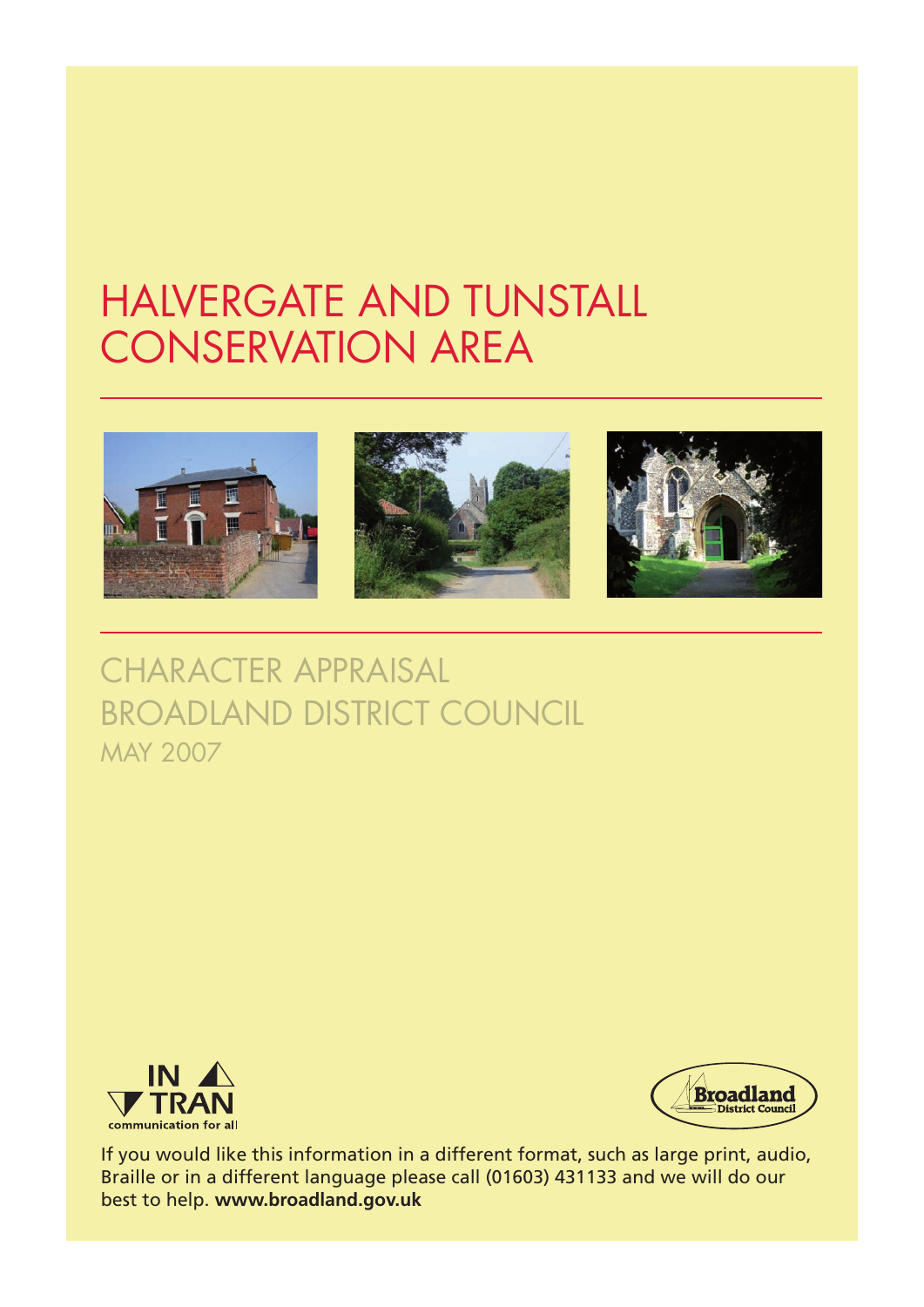## HALVERGATE AND TUNSTALL CONSERVATION AREA



CHARACTER APPRAISAL BROADLAND DISTRICT COUNCIL MAY 2007





If you would like this information in a different format, such as large print, audio, Braille or in a different language please call (01603) 431133 and we will do our best to help. **www.broadland.gov.uk**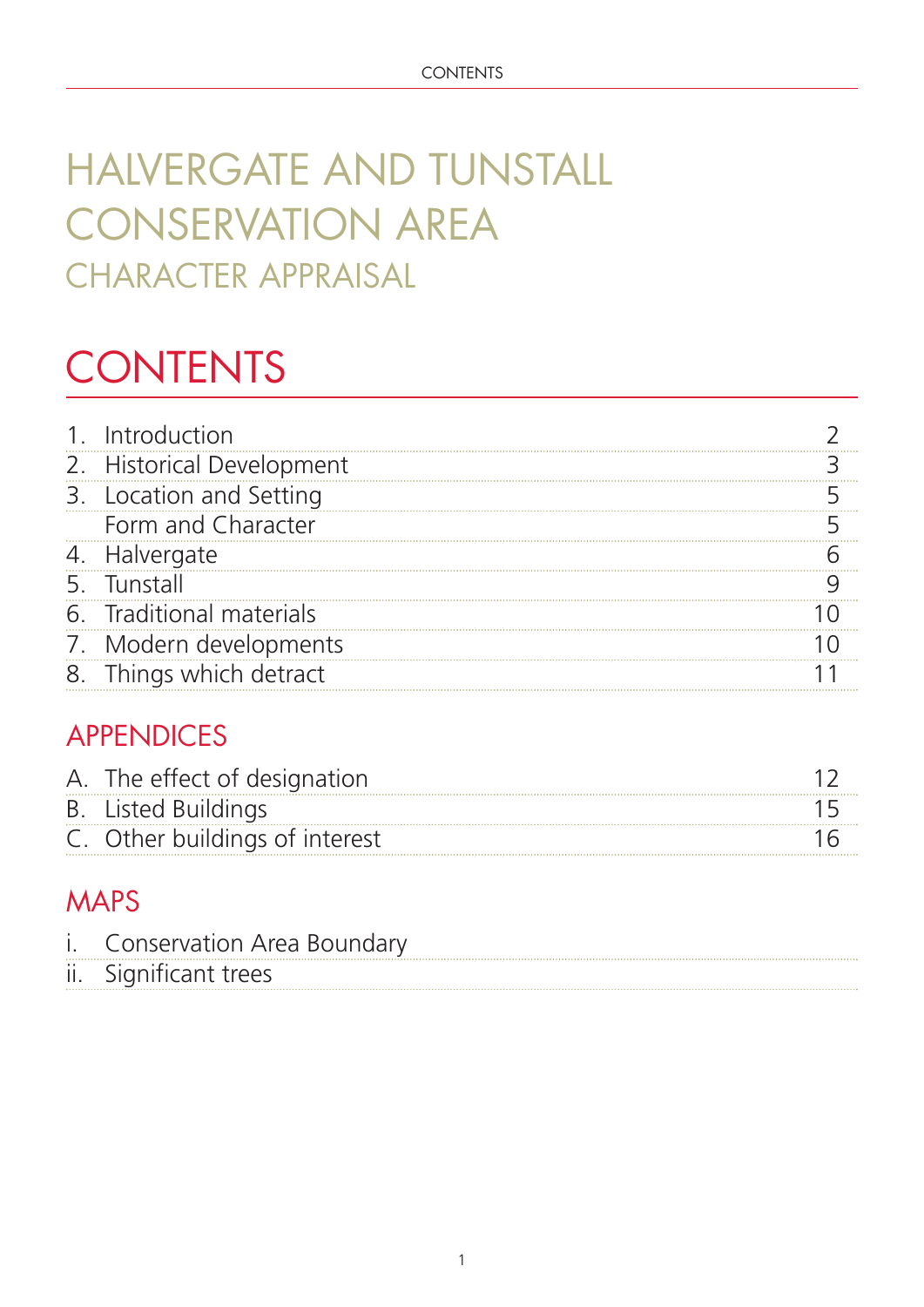## HALVERGATE AND TUNSTALL CONSERVATION AREA CHARACTER APPRAISAL

# **CONTENTS**

| 1. Introduction           |  |
|---------------------------|--|
| 2. Historical Development |  |
| 3. Location and Setting   |  |
| Form and Character        |  |
| 4. Halvergate             |  |
| 5. Tunstall               |  |
| 6. Traditional materials  |  |
| 7. Modern developments    |  |
| 8. Things which detract   |  |

### APPENDICES

| A. The effect of designation   |  |
|--------------------------------|--|
| <b>B.</b> Listed Buildings     |  |
| C. Other buildings of interest |  |

### MAPS

| ii. Significant trees | i. Conservation Area Boundary |
|-----------------------|-------------------------------|
|                       |                               |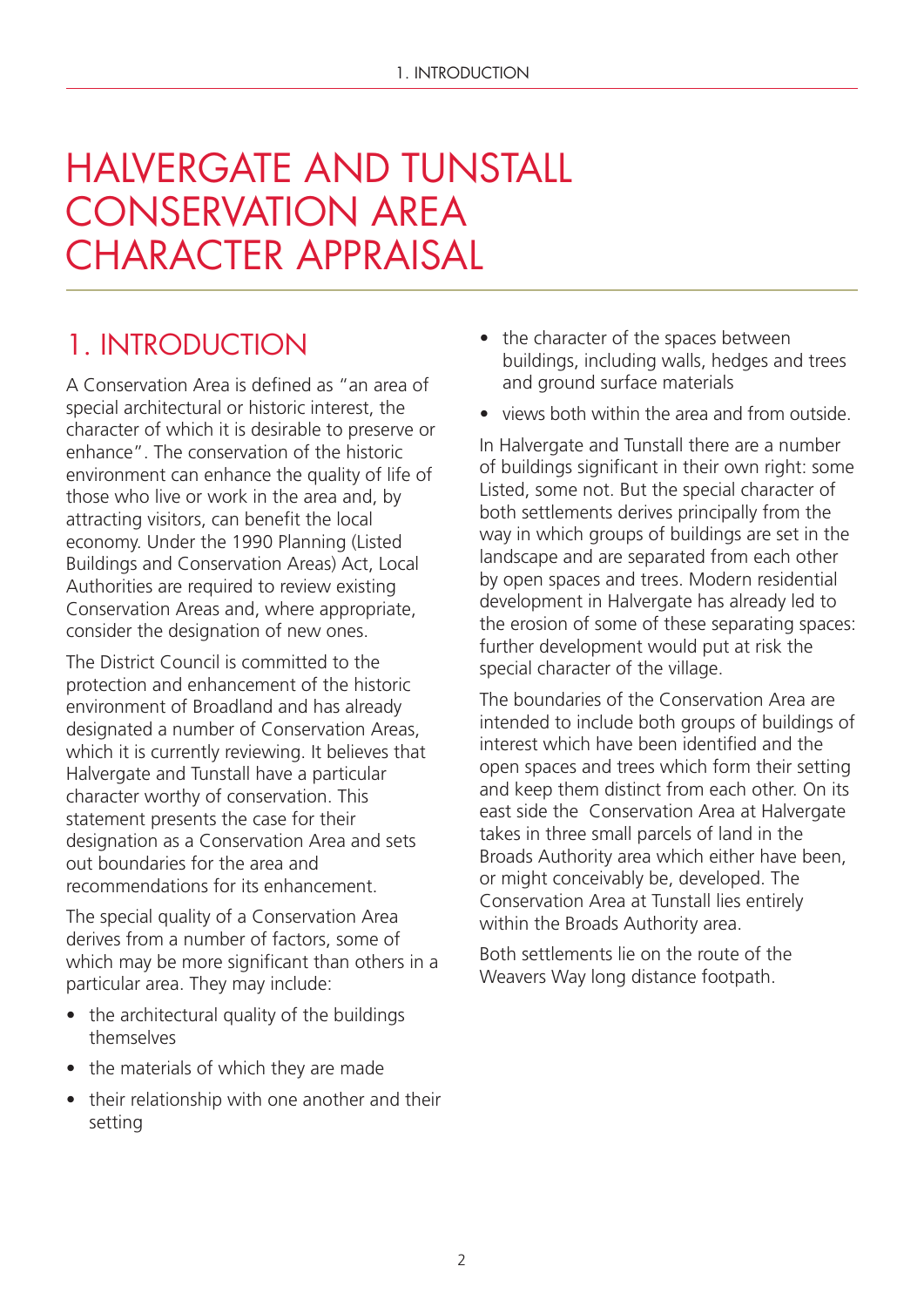## HALVERGATE AND TUNSTALL CONSERVATION AREA CHARACTER APPRAISAL

### 1. INTRODUCTION

A Conservation Area is defined as "an area of special architectural or historic interest, the character of which it is desirable to preserve or enhance". The conservation of the historic environment can enhance the quality of life of those who live or work in the area and, by attracting visitors, can benefit the local economy. Under the 1990 Planning (Listed Buildings and Conservation Areas) Act, Local Authorities are required to review existing Conservation Areas and, where appropriate, consider the designation of new ones.

The District Council is committed to the protection and enhancement of the historic environment of Broadland and has already designated a number of Conservation Areas, which it is currently reviewing. It believes that Halvergate and Tunstall have a particular character worthy of conservation. This statement presents the case for their designation as a Conservation Area and sets out boundaries for the area and recommendations for its enhancement.

The special quality of a Conservation Area derives from a number of factors, some of which may be more significant than others in a particular area. They may include:

- the architectural quality of the buildings themselves
- the materials of which they are made
- their relationship with one another and their setting
- the character of the spaces between buildings, including walls, hedges and trees and ground surface materials
- views both within the area and from outside.

In Halvergate and Tunstall there are a number of buildings significant in their own right: some Listed, some not. But the special character of both settlements derives principally from the way in which groups of buildings are set in the landscape and are separated from each other by open spaces and trees. Modern residential development in Halvergate has already led to the erosion of some of these separating spaces: further development would put at risk the special character of the village.

The boundaries of the Conservation Area are intended to include both groups of buildings of interest which have been identified and the open spaces and trees which form their setting and keep them distinct from each other. On its east side the Conservation Area at Halvergate takes in three small parcels of land in the Broads Authority area which either have been, or might conceivably be, developed. The Conservation Area at Tunstall lies entirely within the Broads Authority area.

Both settlements lie on the route of the Weavers Way long distance footpath.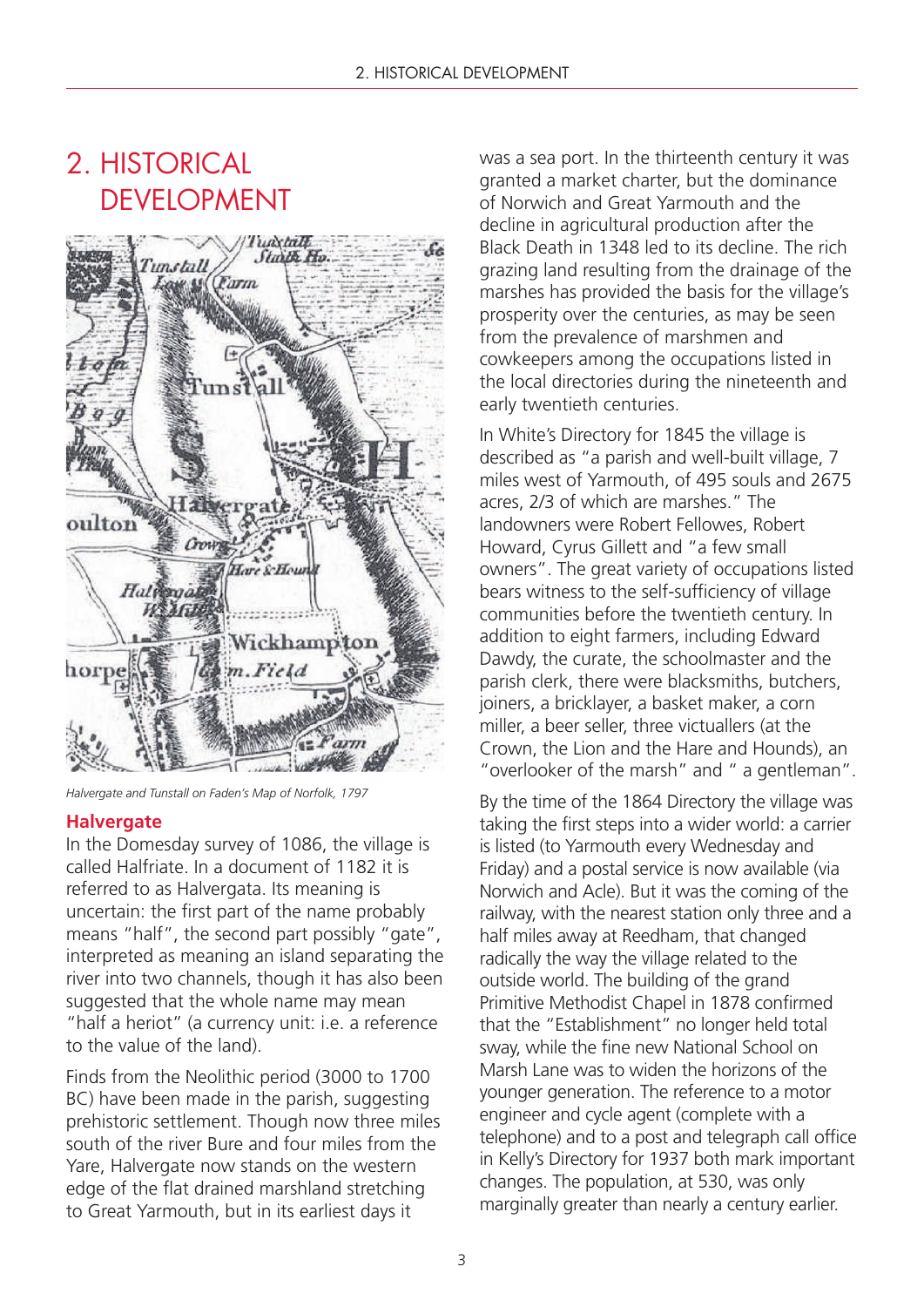### 2. HISTORICAL DEVELOPMENT



*Halvergate and Tunstall on Faden's Map of Norfolk, 1797*

#### **Halvergate**

In the Domesday survey of 1086, the village is called Halfriate. In a document of 1182 it is referred to as Halvergata. Its meaning is uncertain: the first part of the name probably means "half", the second part possibly "gate", interpreted as meaning an island separating the river into two channels, though it has also been suggested that the whole name may mean "half a heriot" (a currency unit: i.e. a reference to the value of the land).

Finds from the Neolithic period (3000 to 1700 BC) have been made in the parish, suggesting prehistoric settlement. Though now three miles south of the river Bure and four miles from the Yare, Halvergate now stands on the western edge of the flat drained marshland stretching to Great Yarmouth, but in its earliest days it

was a sea port. In the thirteenth century it was granted a market charter, but the dominance of Norwich and Great Yarmouth and the decline in agricultural production after the Black Death in 1348 led to its decline. The rich grazing land resulting from the drainage of the marshes has provided the basis for the village's prosperity over the centuries, as may be seen from the prevalence of marshmen and cowkeepers among the occupations listed in the local directories during the nineteenth and early twentieth centuries.

In White's Directory for 1845 the village is described as "a parish and well-built village, 7 miles west of Yarmouth, of 495 souls and 2675 acres, 2/3 of which are marshes." The landowners were Robert Fellowes, Robert Howard, Cyrus Gillett and "a few small owners". The great variety of occupations listed bears witness to the self-sufficiency of village communities before the twentieth century. In addition to eight farmers, including Edward Dawdy, the curate, the schoolmaster and the parish clerk, there were blacksmiths, butchers, joiners, a bricklayer, a basket maker, a corn miller, a beer seller, three victuallers (at the Crown, the Lion and the Hare and Hounds), an "overlooker of the marsh" and " a gentleman".

By the time of the 1864 Directory the village was taking the first steps into a wider world: a carrier is listed (to Yarmouth every Wednesday and Friday) and a postal service is now available (via Norwich and Acle). But it was the coming of the railway, with the nearest station only three and a half miles away at Reedham, that changed radically the way the village related to the outside world. The building of the grand Primitive Methodist Chapel in 1878 confirmed that the "Establishment" no longer held total sway, while the fine new National School on Marsh Lane was to widen the horizons of the younger generation. The reference to a motor engineer and cycle agent (complete with a telephone) and to a post and telegraph call office in Kelly's Directory for 1937 both mark important changes. The population, at 530, was only marginally greater than nearly a century earlier.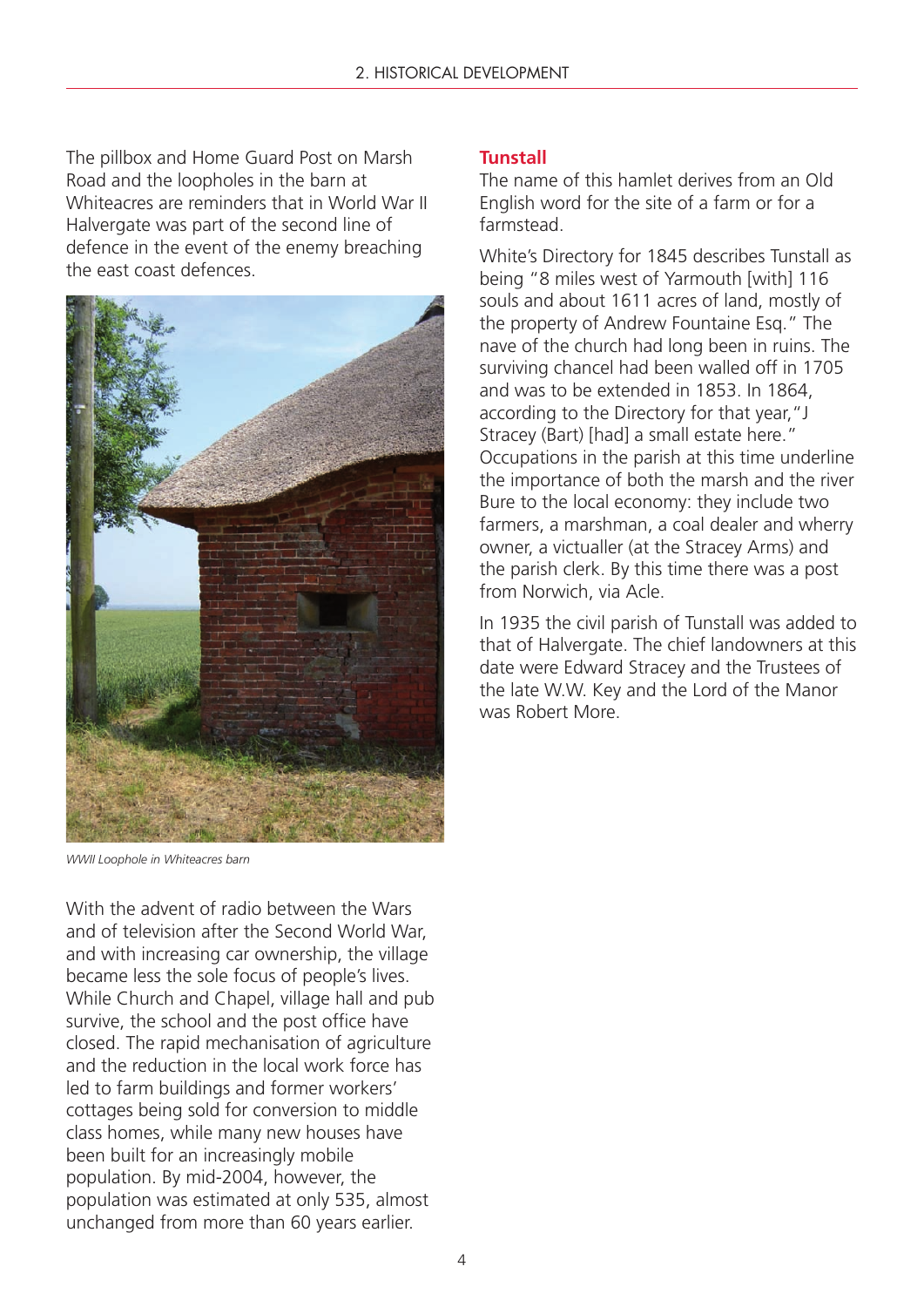The pillbox and Home Guard Post on Marsh Road and the loopholes in the barn at Whiteacres are reminders that in World War II Halvergate was part of the second line of defence in the event of the enemy breaching the east coast defences.



*WWII Loophole in Whiteacres barn*

With the advent of radio between the Wars and of television after the Second World War, and with increasing car ownership, the village became less the sole focus of people's lives. While Church and Chapel, village hall and pub survive, the school and the post office have closed. The rapid mechanisation of agriculture and the reduction in the local work force has led to farm buildings and former workers' cottages being sold for conversion to middle class homes, while many new houses have been built for an increasingly mobile population. By mid-2004, however, the population was estimated at only 535, almost unchanged from more than 60 years earlier.

#### **Tunstall**

The name of this hamlet derives from an Old English word for the site of a farm or for a farmstead.

White's Directory for 1845 describes Tunstall as being "8 miles west of Yarmouth [with] 116 souls and about 1611 acres of land, mostly of the property of Andrew Fountaine Esq." The nave of the church had long been in ruins. The surviving chancel had been walled off in 1705 and was to be extended in 1853. In 1864, according to the Directory for that year,"J Stracey (Bart) [had] a small estate here." Occupations in the parish at this time underline the importance of both the marsh and the river Bure to the local economy: they include two farmers, a marshman, a coal dealer and wherry owner, a victualler (at the Stracey Arms) and the parish clerk. By this time there was a post from Norwich, via Acle.

In 1935 the civil parish of Tunstall was added to that of Halvergate. The chief landowners at this date were Edward Stracey and the Trustees of the late W.W. Key and the Lord of the Manor was Robert More.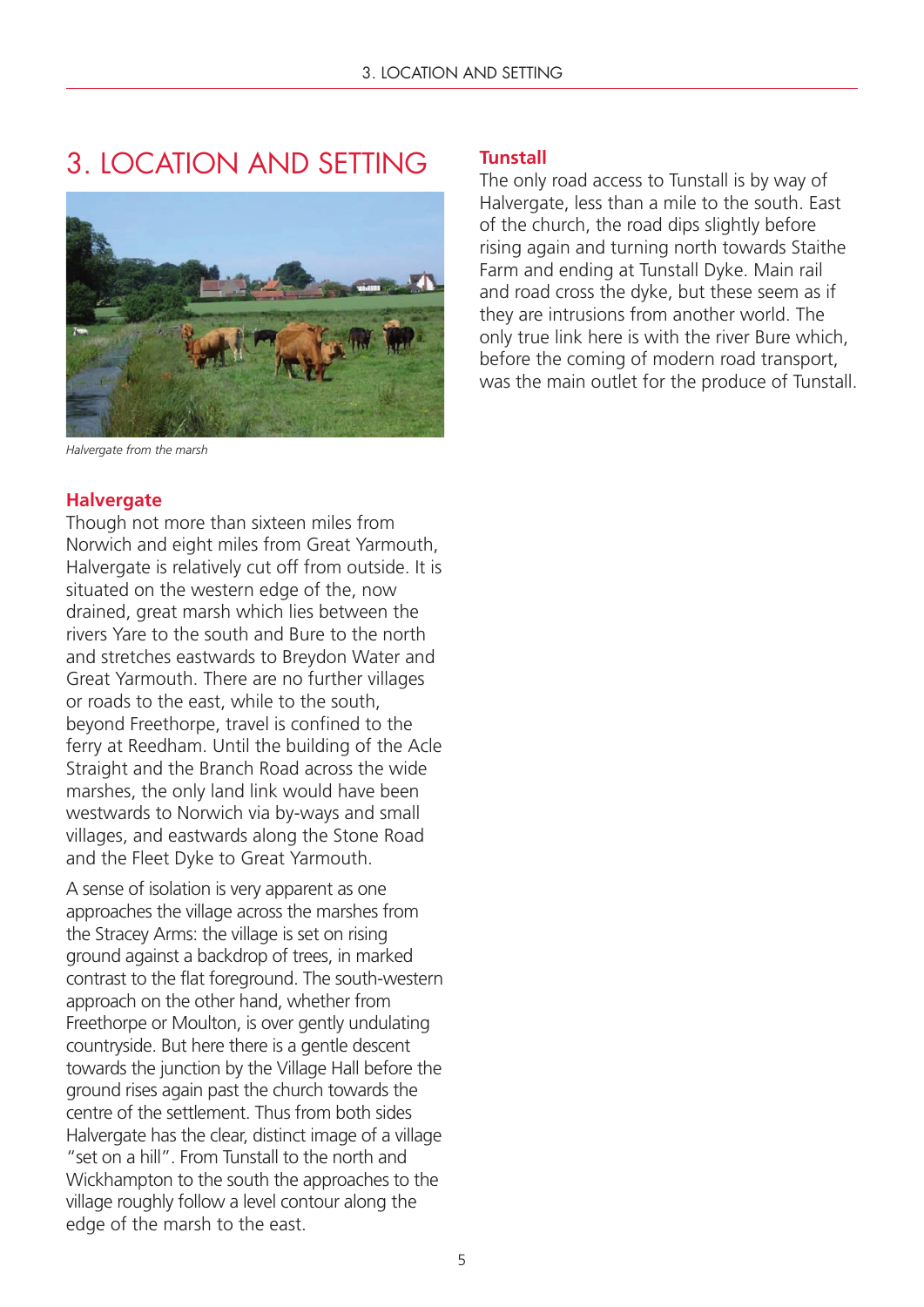### 3. LOCATION AND SETTING



*Halvergate from the marsh*

#### **Halvergate**

Though not more than sixteen miles from Norwich and eight miles from Great Yarmouth, Halvergate is relatively cut off from outside. It is situated on the western edge of the, now drained, great marsh which lies between the rivers Yare to the south and Bure to the north and stretches eastwards to Breydon Water and Great Yarmouth. There are no further villages or roads to the east, while to the south, beyond Freethorpe, travel is confined to the ferry at Reedham. Until the building of the Acle Straight and the Branch Road across the wide marshes, the only land link would have been westwards to Norwich via by-ways and small villages, and eastwards along the Stone Road and the Fleet Dyke to Great Yarmouth.

A sense of isolation is very apparent as one approaches the village across the marshes from the Stracey Arms: the village is set on rising ground against a backdrop of trees, in marked contrast to the flat foreground. The south-western approach on the other hand, whether from Freethorpe or Moulton, is over gently undulating countryside. But here there is a gentle descent towards the junction by the Village Hall before the ground rises again past the church towards the centre of the settlement. Thus from both sides Halvergate has the clear, distinct image of a village "set on a hill". From Tunstall to the north and Wickhampton to the south the approaches to the village roughly follow a level contour along the edge of the marsh to the east.

#### **Tunstall**

The only road access to Tunstall is by way of Halvergate, less than a mile to the south. East of the church, the road dips slightly before rising again and turning north towards Staithe Farm and ending at Tunstall Dyke. Main rail and road cross the dyke, but these seem as if they are intrusions from another world. The only true link here is with the river Bure which, before the coming of modern road transport, was the main outlet for the produce of Tunstall.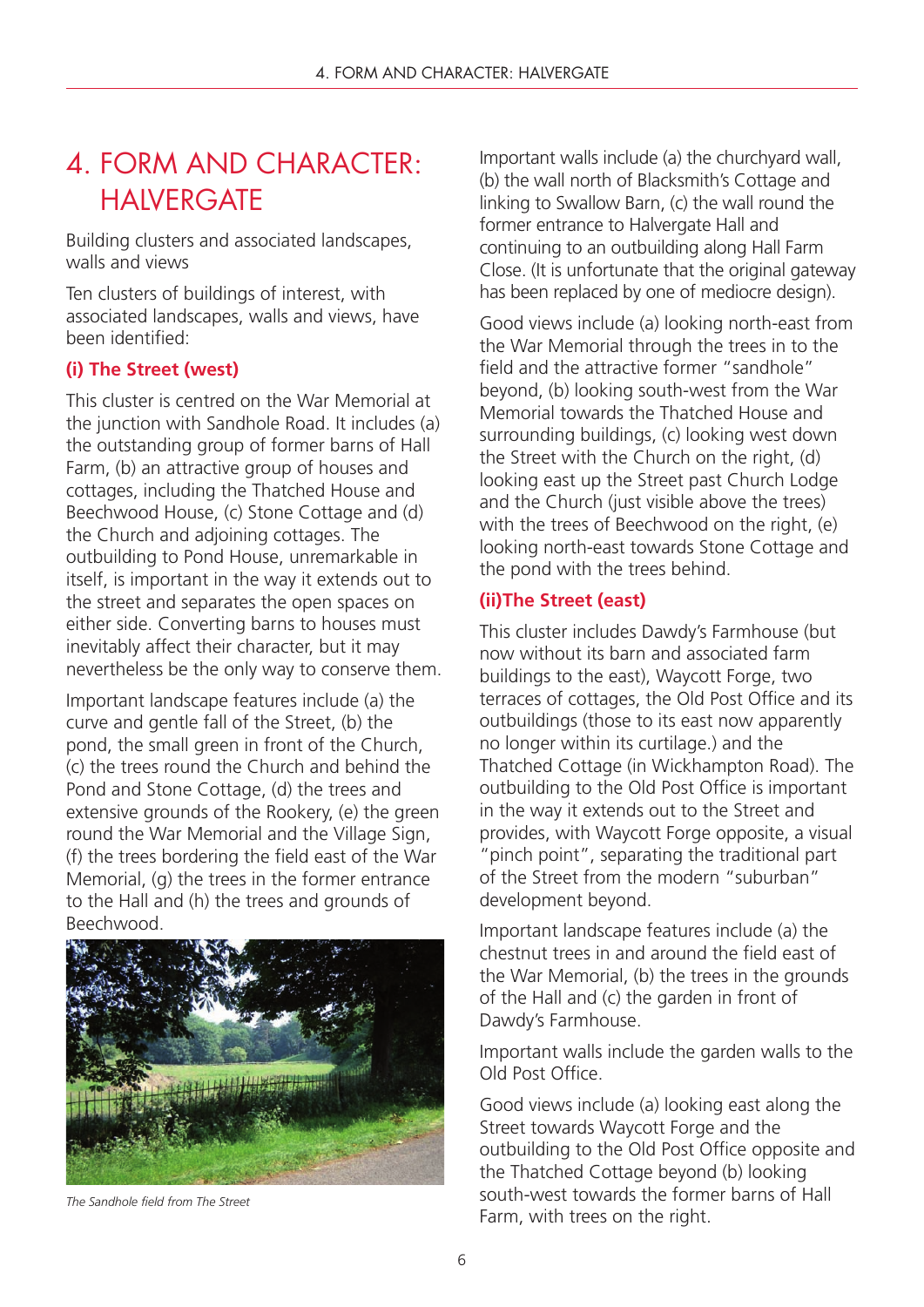### 4. FORM AND CHARACTER: **HAIVERGATE**

Building clusters and associated landscapes, walls and views

Ten clusters of buildings of interest, with associated landscapes, walls and views, have been identified:

### **(i) The Street (west)**

This cluster is centred on the War Memorial at the junction with Sandhole Road. It includes (a) the outstanding group of former barns of Hall Farm, (b) an attractive group of houses and cottages, including the Thatched House and Beechwood House, (c) Stone Cottage and (d) the Church and adjoining cottages. The outbuilding to Pond House, unremarkable in itself, is important in the way it extends out to the street and separates the open spaces on either side. Converting barns to houses must inevitably affect their character, but it may nevertheless be the only way to conserve them.

Important landscape features include (a) the curve and gentle fall of the Street, (b) the pond, the small green in front of the Church, (c) the trees round the Church and behind the Pond and Stone Cottage, (d) the trees and extensive grounds of the Rookery, (e) the green round the War Memorial and the Village Sign, (f) the trees bordering the field east of the War Memorial, (g) the trees in the former entrance to the Hall and (h) the trees and grounds of Beechwood.



*The Sandhole field from The Street*

Important walls include (a) the churchyard wall, (b) the wall north of Blacksmith's Cottage and linking to Swallow Barn, (c) the wall round the former entrance to Halvergate Hall and continuing to an outbuilding along Hall Farm Close. (It is unfortunate that the original gateway has been replaced by one of mediocre design).

Good views include (a) looking north-east from the War Memorial through the trees in to the field and the attractive former "sandhole" beyond, (b) looking south-west from the War Memorial towards the Thatched House and surrounding buildings, (c) looking west down the Street with the Church on the right, (d) looking east up the Street past Church Lodge and the Church (just visible above the trees) with the trees of Beechwood on the right, (e) looking north-east towards Stone Cottage and the pond with the trees behind.

### **(ii)The Street (east)**

This cluster includes Dawdy's Farmhouse (but now without its barn and associated farm buildings to the east), Waycott Forge, two terraces of cottages, the Old Post Office and its outbuildings (those to its east now apparently no longer within its curtilage.) and the Thatched Cottage (in Wickhampton Road). The outbuilding to the Old Post Office is important in the way it extends out to the Street and provides, with Waycott Forge opposite, a visual "pinch point", separating the traditional part of the Street from the modern "suburban" development beyond.

Important landscape features include (a) the chestnut trees in and around the field east of the War Memorial, (b) the trees in the grounds of the Hall and (c) the garden in front of Dawdy's Farmhouse.

Important walls include the garden walls to the Old Post Office.

Good views include (a) looking east along the Street towards Waycott Forge and the outbuilding to the Old Post Office opposite and the Thatched Cottage beyond (b) looking south-west towards the former barns of Hall Farm, with trees on the right.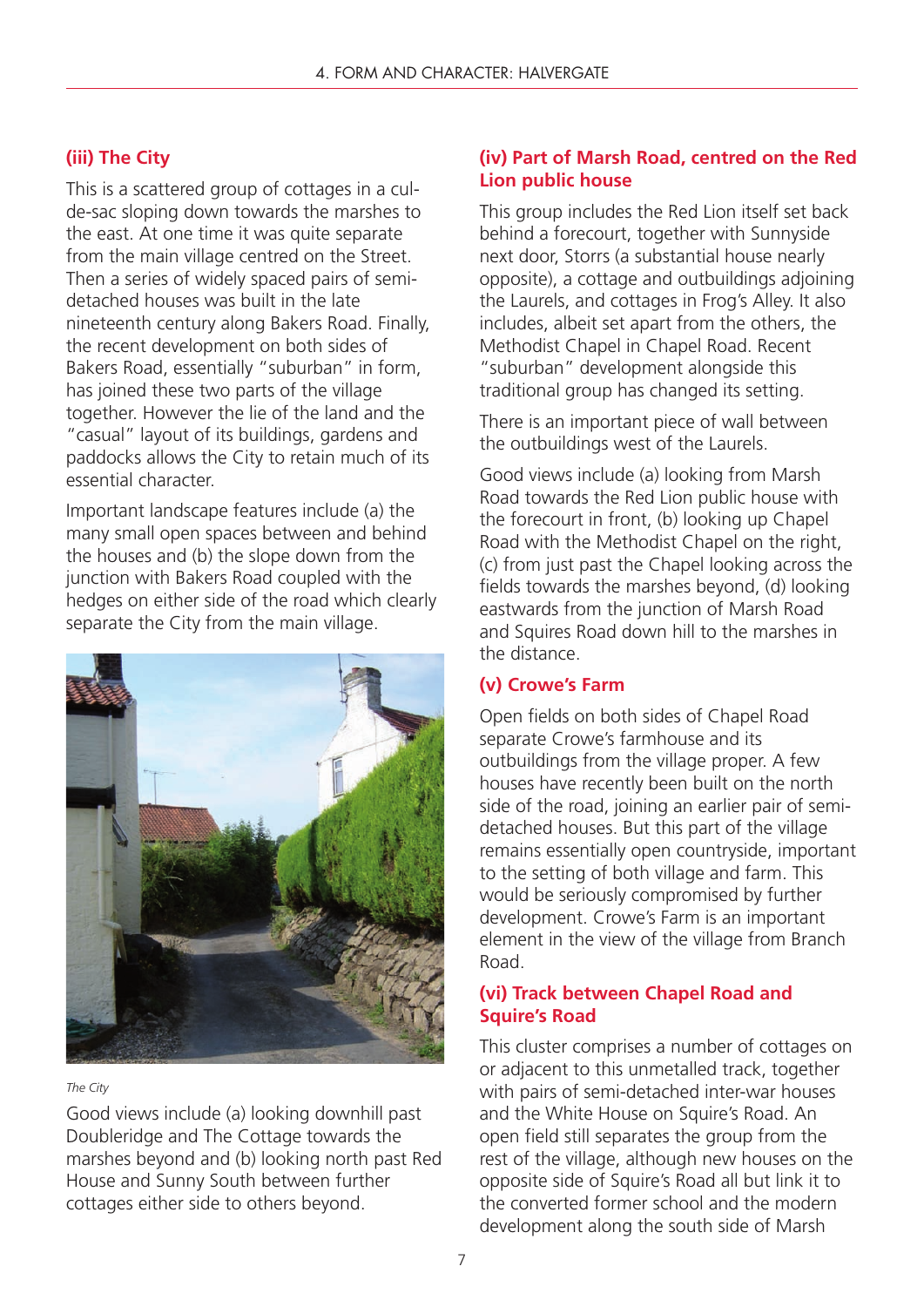### **(iii) The City**

This is a scattered group of cottages in a culde-sac sloping down towards the marshes to the east. At one time it was quite separate from the main village centred on the Street. Then a series of widely spaced pairs of semidetached houses was built in the late nineteenth century along Bakers Road. Finally, the recent development on both sides of Bakers Road, essentially "suburban" in form, has joined these two parts of the village together. However the lie of the land and the "casual" layout of its buildings, gardens and paddocks allows the City to retain much of its essential character.

Important landscape features include (a) the many small open spaces between and behind the houses and (b) the slope down from the junction with Bakers Road coupled with the hedges on either side of the road which clearly separate the City from the main village.



#### *The City*

Good views include (a) looking downhill past Doubleridge and The Cottage towards the marshes beyond and (b) looking north past Red House and Sunny South between further cottages either side to others beyond.

### **(iv) Part of Marsh Road, centred on the Red Lion public house**

This group includes the Red Lion itself set back behind a forecourt, together with Sunnyside next door, Storrs (a substantial house nearly opposite), a cottage and outbuildings adjoining the Laurels, and cottages in Frog's Alley. It also includes, albeit set apart from the others, the Methodist Chapel in Chapel Road. Recent "suburban" development alongside this traditional group has changed its setting.

There is an important piece of wall between the outbuildings west of the Laurels.

Good views include (a) looking from Marsh Road towards the Red Lion public house with the forecourt in front, (b) looking up Chapel Road with the Methodist Chapel on the right, (c) from just past the Chapel looking across the fields towards the marshes beyond, (d) looking eastwards from the junction of Marsh Road and Squires Road down hill to the marshes in the distance.

#### **(v) Crowe's Farm**

Open fields on both sides of Chapel Road separate Crowe's farmhouse and its outbuildings from the village proper. A few houses have recently been built on the north side of the road, joining an earlier pair of semidetached houses. But this part of the village remains essentially open countryside, important to the setting of both village and farm. This would be seriously compromised by further development. Crowe's Farm is an important element in the view of the village from Branch Road.

#### **(vi) Track between Chapel Road and Squire's Road**

This cluster comprises a number of cottages on or adjacent to this unmetalled track, together with pairs of semi-detached inter-war houses and the White House on Squire's Road. An open field still separates the group from the rest of the village, although new houses on the opposite side of Squire's Road all but link it to the converted former school and the modern development along the south side of Marsh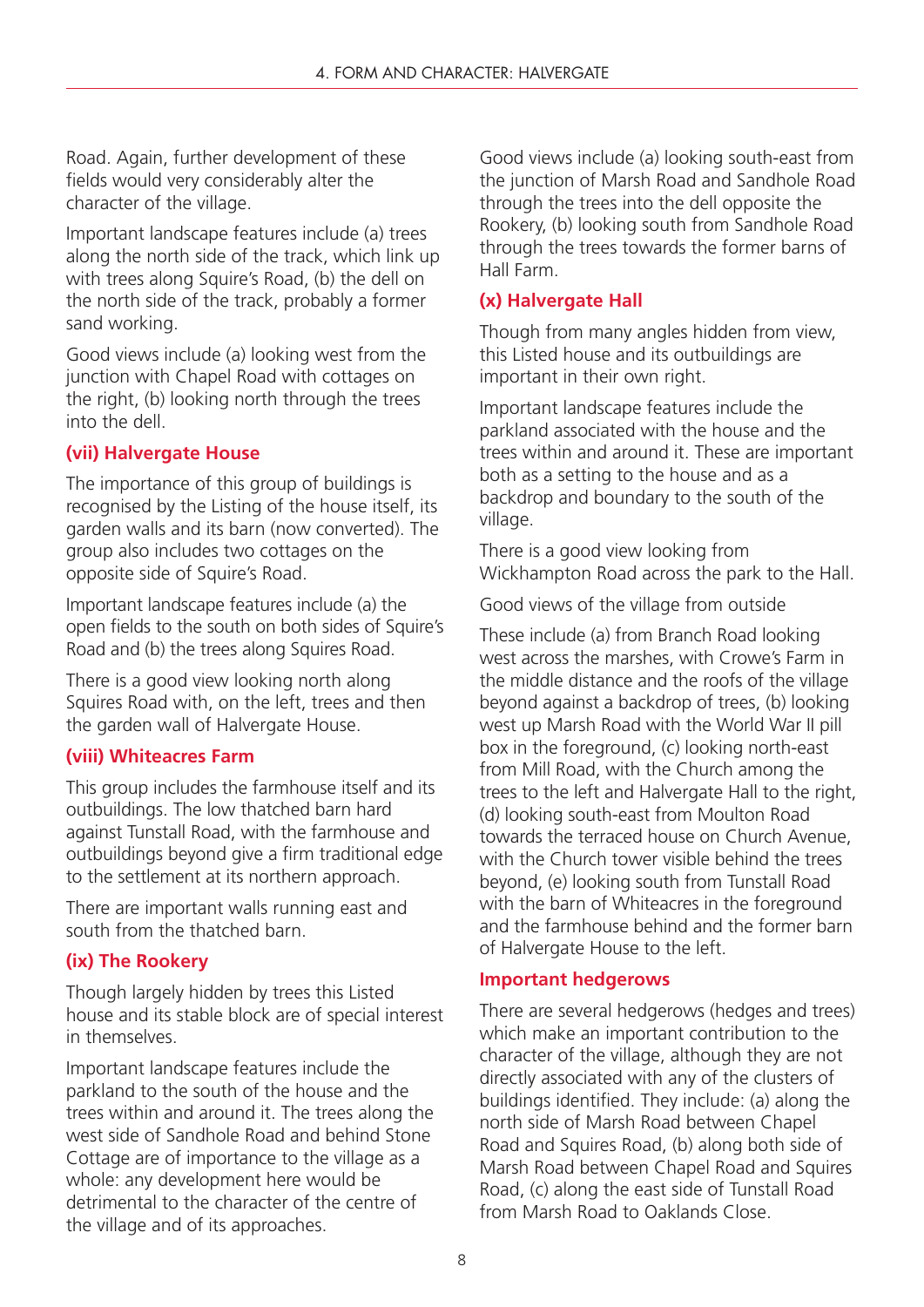Road. Again, further development of these fields would very considerably alter the character of the village.

Important landscape features include (a) trees along the north side of the track, which link up with trees along Squire's Road, (b) the dell on the north side of the track, probably a former sand working.

Good views include (a) looking west from the junction with Chapel Road with cottages on the right, (b) looking north through the trees into the dell.

### **(vii) Halvergate House**

The importance of this group of buildings is recognised by the Listing of the house itself, its garden walls and its barn (now converted). The group also includes two cottages on the opposite side of Squire's Road.

Important landscape features include (a) the open fields to the south on both sides of Squire's Road and (b) the trees along Squires Road.

There is a good view looking north along Squires Road with, on the left, trees and then the garden wall of Halvergate House.

### **(viii) Whiteacres Farm**

This group includes the farmhouse itself and its outbuildings. The low thatched barn hard against Tunstall Road, with the farmhouse and outbuildings beyond give a firm traditional edge to the settlement at its northern approach.

There are important walls running east and south from the thatched barn.

### **(ix) The Rookery**

Though largely hidden by trees this Listed house and its stable block are of special interest in themselves.

Important landscape features include the parkland to the south of the house and the trees within and around it. The trees along the west side of Sandhole Road and behind Stone Cottage are of importance to the village as a whole: any development here would be detrimental to the character of the centre of the village and of its approaches.

Good views include (a) looking south-east from the junction of Marsh Road and Sandhole Road through the trees into the dell opposite the Rookery, (b) looking south from Sandhole Road through the trees towards the former barns of Hall Farm.

### **(x) Halvergate Hall**

Though from many angles hidden from view, this Listed house and its outbuildings are important in their own right.

Important landscape features include the parkland associated with the house and the trees within and around it. These are important both as a setting to the house and as a backdrop and boundary to the south of the village.

There is a good view looking from Wickhampton Road across the park to the Hall.

Good views of the village from outside

These include (a) from Branch Road looking west across the marshes, with Crowe's Farm in the middle distance and the roofs of the village beyond against a backdrop of trees, (b) looking west up Marsh Road with the World War II pill box in the foreground, (c) looking north-east from Mill Road, with the Church among the trees to the left and Halvergate Hall to the right, (d) looking south-east from Moulton Road towards the terraced house on Church Avenue, with the Church tower visible behind the trees beyond, (e) looking south from Tunstall Road with the barn of Whiteacres in the foreground and the farmhouse behind and the former barn of Halvergate House to the left.

### **Important hedgerows**

There are several hedgerows (hedges and trees) which make an important contribution to the character of the village, although they are not directly associated with any of the clusters of buildings identified. They include: (a) along the north side of Marsh Road between Chapel Road and Squires Road, (b) along both side of Marsh Road between Chapel Road and Squires Road, (c) along the east side of Tunstall Road from Marsh Road to Oaklands Close.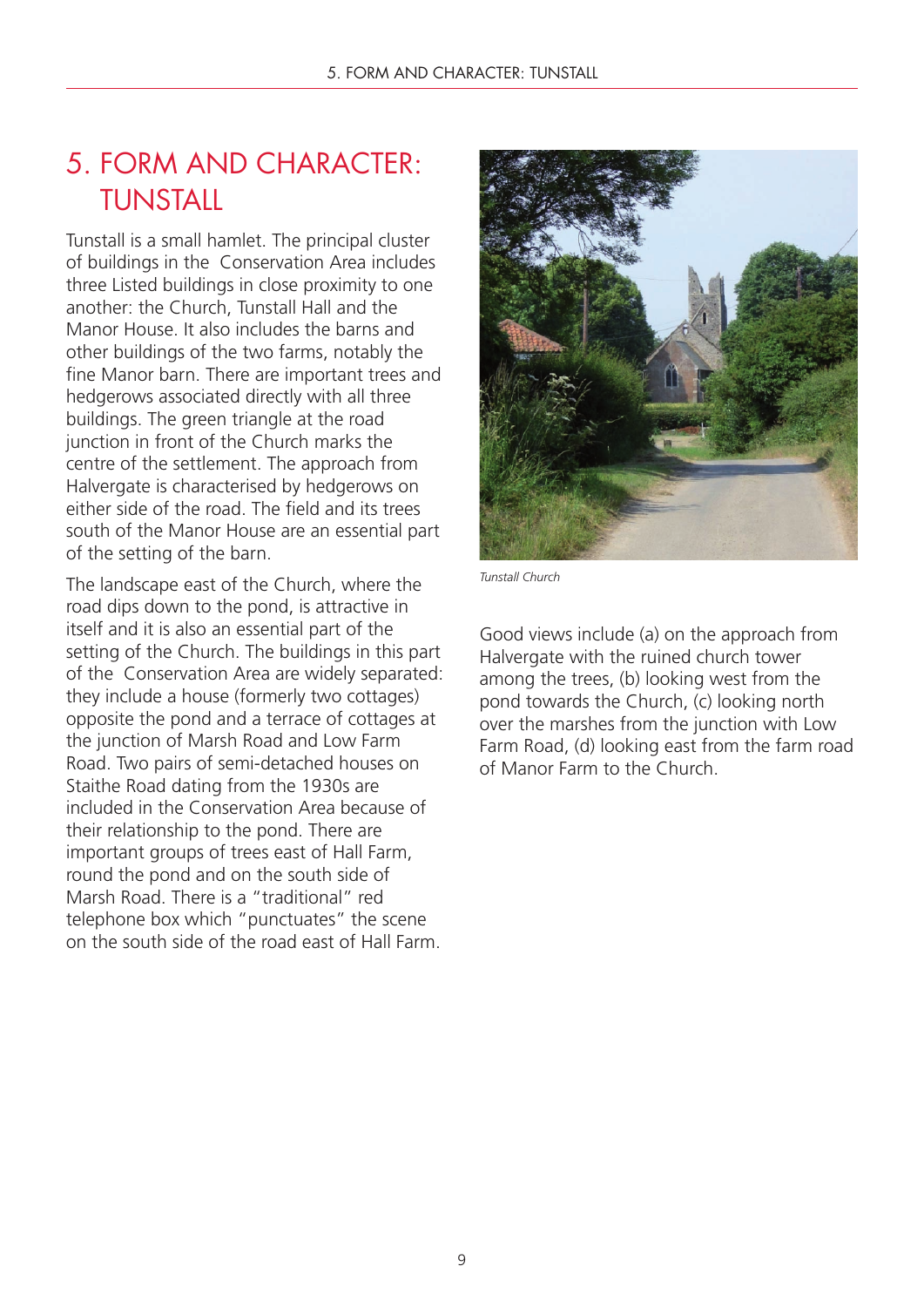### 5. FORM AND CHARACTER: **TUNSTALL**

Tunstall is a small hamlet. The principal cluster of buildings in the Conservation Area includes three Listed buildings in close proximity to one another: the Church, Tunstall Hall and the Manor House. It also includes the barns and other buildings of the two farms, notably the fine Manor barn. There are important trees and hedgerows associated directly with all three buildings. The green triangle at the road junction in front of the Church marks the centre of the settlement. The approach from Halvergate is characterised by hedgerows on either side of the road. The field and its trees south of the Manor House are an essential part of the setting of the barn.

The landscape east of the Church, where the road dips down to the pond, is attractive in itself and it is also an essential part of the setting of the Church. The buildings in this part of the Conservation Area are widely separated: they include a house (formerly two cottages) opposite the pond and a terrace of cottages at the junction of Marsh Road and Low Farm Road. Two pairs of semi-detached houses on Staithe Road dating from the 1930s are included in the Conservation Area because of their relationship to the pond. There are important groups of trees east of Hall Farm, round the pond and on the south side of Marsh Road. There is a "traditional" red telephone box which "punctuates" the scene on the south side of the road east of Hall Farm.



*Tunstall Church*

Good views include (a) on the approach from Halvergate with the ruined church tower among the trees, (b) looking west from the pond towards the Church, (c) looking north over the marshes from the junction with Low Farm Road, (d) looking east from the farm road of Manor Farm to the Church.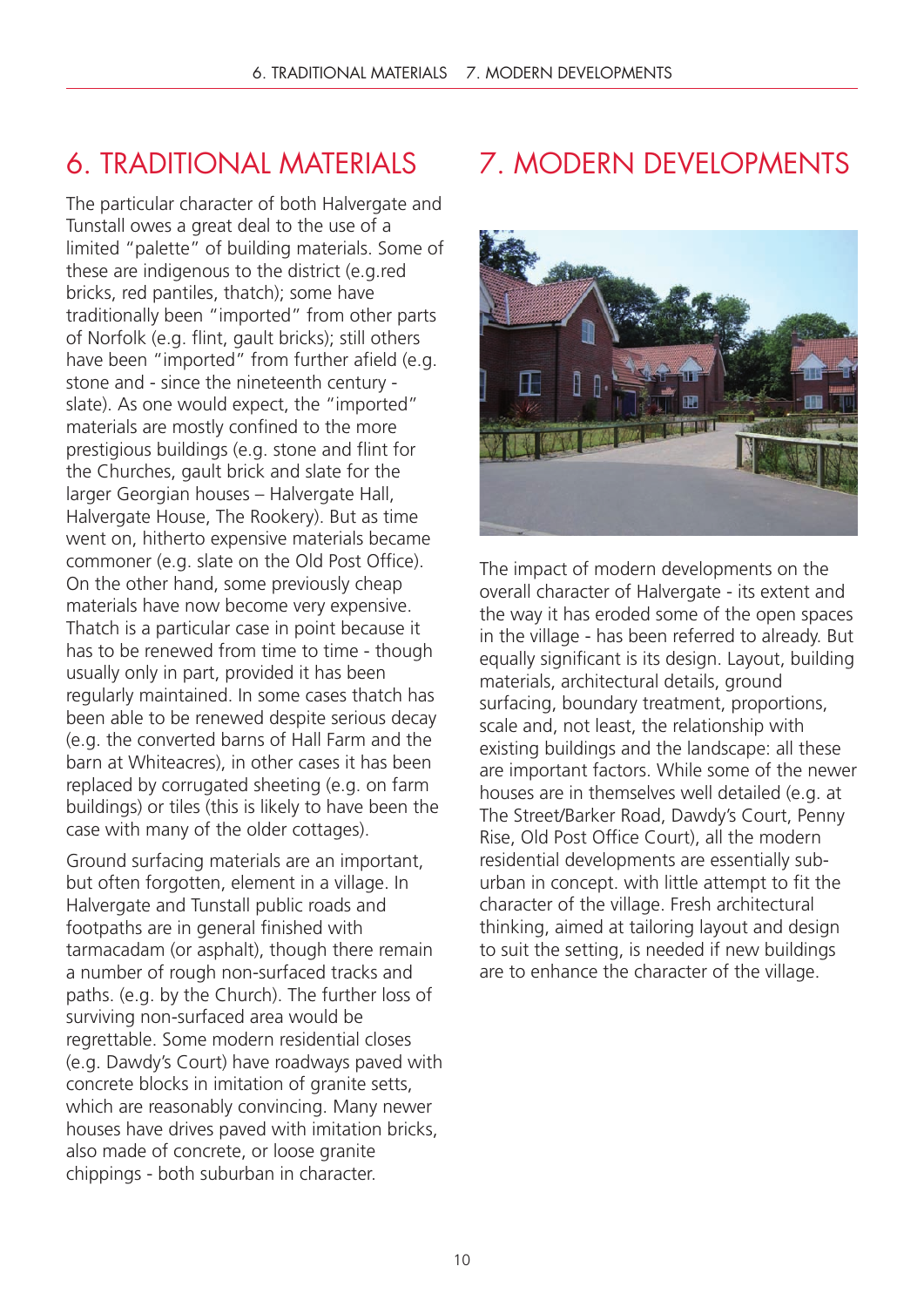### 6. TRADITIONAL MATERIALS

The particular character of both Halvergate and Tunstall owes a great deal to the use of a limited "palette" of building materials. Some of these are indigenous to the district (e.g.red bricks, red pantiles, thatch); some have traditionally been "imported" from other parts of Norfolk (e.g. flint, gault bricks); still others have been "imported" from further afield (e.g. stone and - since the nineteenth century slate). As one would expect, the "imported" materials are mostly confined to the more prestigious buildings (e.g. stone and flint for the Churches, gault brick and slate for the larger Georgian houses – Halvergate Hall, Halvergate House, The Rookery). But as time went on, hitherto expensive materials became commoner (e.g. slate on the Old Post Office). On the other hand, some previously cheap materials have now become very expensive. Thatch is a particular case in point because it has to be renewed from time to time - though usually only in part, provided it has been regularly maintained. In some cases thatch has been able to be renewed despite serious decay (e.g. the converted barns of Hall Farm and the barn at Whiteacres), in other cases it has been replaced by corrugated sheeting (e.g. on farm buildings) or tiles (this is likely to have been the case with many of the older cottages).

Ground surfacing materials are an important, but often forgotten, element in a village. In Halvergate and Tunstall public roads and footpaths are in general finished with tarmacadam (or asphalt), though there remain a number of rough non-surfaced tracks and paths. (e.g. by the Church). The further loss of surviving non-surfaced area would be regrettable. Some modern residential closes (e.g. Dawdy's Court) have roadways paved with concrete blocks in imitation of granite setts, which are reasonably convincing. Many newer houses have drives paved with imitation bricks, also made of concrete, or loose granite chippings - both suburban in character.

## 7. MODERN DEVELOPMENTS



The impact of modern developments on the overall character of Halvergate - its extent and the way it has eroded some of the open spaces in the village - has been referred to already. But equally significant is its design. Layout, building materials, architectural details, ground surfacing, boundary treatment, proportions, scale and, not least, the relationship with existing buildings and the landscape: all these are important factors. While some of the newer houses are in themselves well detailed (e.g. at The Street/Barker Road, Dawdy's Court, Penny Rise, Old Post Office Court), all the modern residential developments are essentially suburban in concept. with little attempt to fit the character of the village. Fresh architectural thinking, aimed at tailoring layout and design to suit the setting, is needed if new buildings are to enhance the character of the village.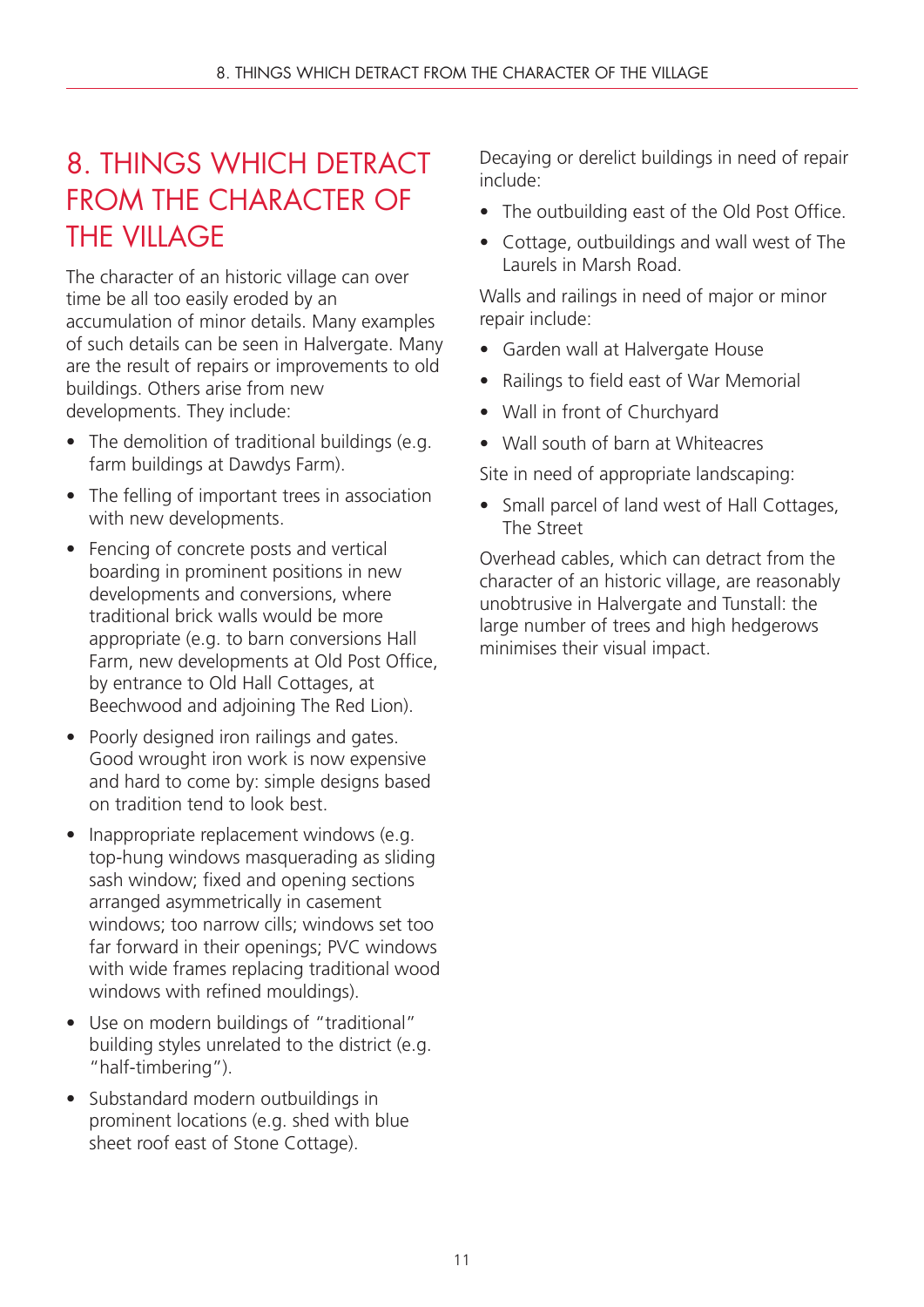### 8. THINGS WHICH DETRACT FROM THE CHARACTER OF **THE VILLAGE**

The character of an historic village can over time be all too easily eroded by an accumulation of minor details. Many examples of such details can be seen in Halvergate. Many are the result of repairs or improvements to old buildings. Others arise from new developments. They include:

- The demolition of traditional buildings (e.g. farm buildings at Dawdys Farm).
- The felling of important trees in association with new developments.
- Fencing of concrete posts and vertical boarding in prominent positions in new developments and conversions, where traditional brick walls would be more appropriate (e.g. to barn conversions Hall Farm, new developments at Old Post Office, by entrance to Old Hall Cottages, at Beechwood and adjoining The Red Lion).
- Poorly designed iron railings and gates. Good wrought iron work is now expensive and hard to come by: simple designs based on tradition tend to look best.
- Inappropriate replacement windows (e.g. top-hung windows masquerading as sliding sash window; fixed and opening sections arranged asymmetrically in casement windows; too narrow cills; windows set too far forward in their openings; PVC windows with wide frames replacing traditional wood windows with refined mouldings).
- Use on modern buildings of "traditional" building styles unrelated to the district (e.g. "half-timbering").
- Substandard modern outbuildings in prominent locations (e.g. shed with blue sheet roof east of Stone Cottage).

Decaying or derelict buildings in need of repair include:

- The outbuilding east of the Old Post Office.
- Cottage, outbuildings and wall west of The Laurels in Marsh Road.

Walls and railings in need of major or minor repair include:

- Garden wall at Halvergate House
- Railings to field east of War Memorial
- Wall in front of Churchyard
- Wall south of barn at Whiteacres

Site in need of appropriate landscaping:

• Small parcel of land west of Hall Cottages, The Street

Overhead cables, which can detract from the character of an historic village, are reasonably unobtrusive in Halvergate and Tunstall: the large number of trees and high hedgerows minimises their visual impact.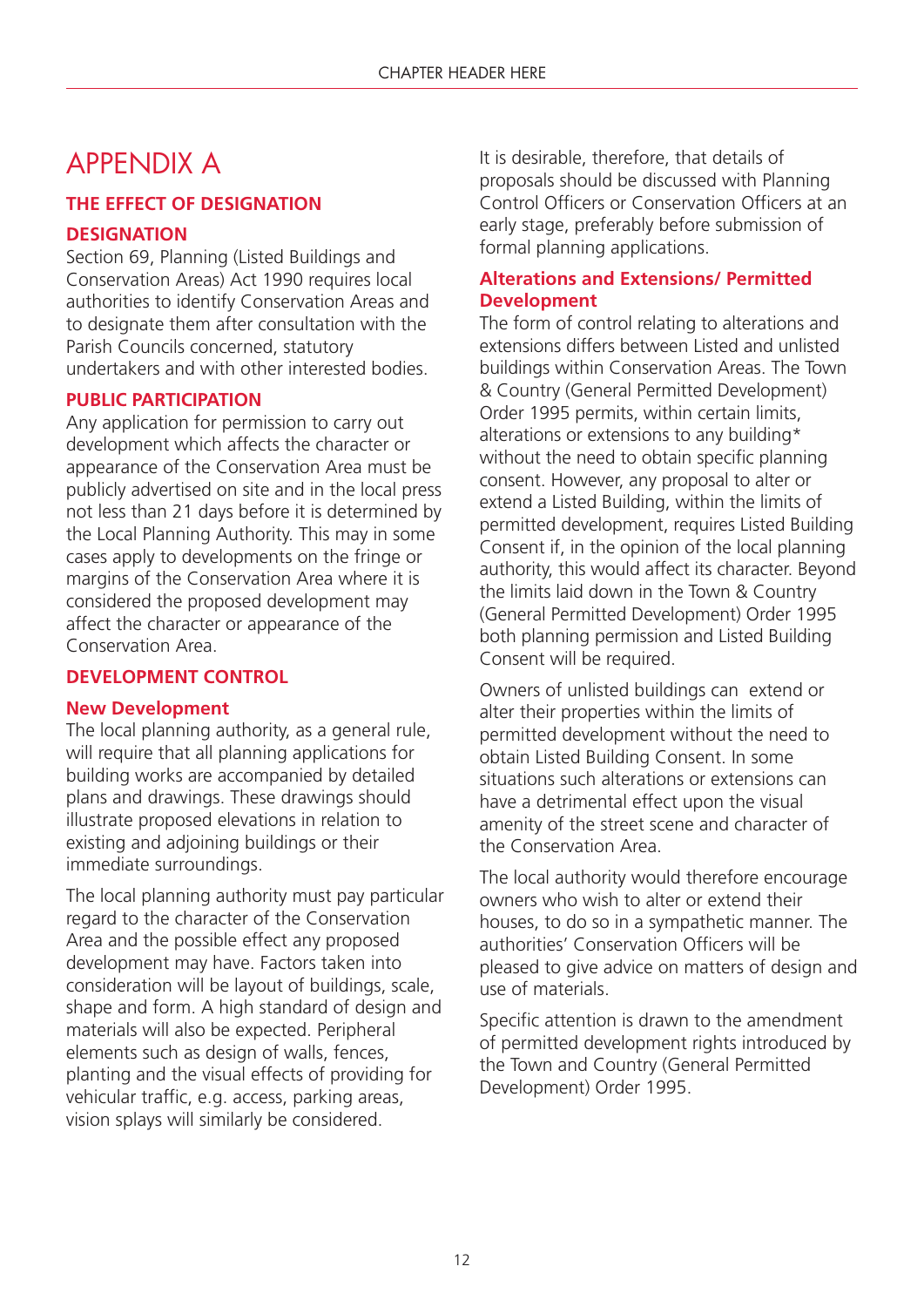### APPENDIX A

### **THE EFFECT OF DESIGNATION**

### **DESIGNATION**

Section 69, Planning (Listed Buildings and Conservation Areas) Act 1990 requires local authorities to identify Conservation Areas and to designate them after consultation with the Parish Councils concerned, statutory undertakers and with other interested bodies.

#### **PUBLIC PARTICIPATION**

Any application for permission to carry out development which affects the character or appearance of the Conservation Area must be publicly advertised on site and in the local press not less than 21 days before it is determined by the Local Planning Authority. This may in some cases apply to developments on the fringe or margins of the Conservation Area where it is considered the proposed development may affect the character or appearance of the Conservation Area.

### **DEVELOPMENT CONTROL**

#### **New Development**

The local planning authority, as a general rule. will require that all planning applications for building works are accompanied by detailed plans and drawings. These drawings should illustrate proposed elevations in relation to existing and adjoining buildings or their immediate surroundings.

The local planning authority must pay particular regard to the character of the Conservation Area and the possible effect any proposed development may have. Factors taken into consideration will be layout of buildings, scale, shape and form. A high standard of design and materials will also be expected. Peripheral elements such as design of walls, fences, planting and the visual effects of providing for vehicular traffic, e.g. access, parking areas, vision splays will similarly be considered.

It is desirable, therefore, that details of proposals should be discussed with Planning Control Officers or Conservation Officers at an early stage, preferably before submission of formal planning applications.

### **Alterations and Extensions/ Permitted Development**

The form of control relating to alterations and extensions differs between Listed and unlisted buildings within Conservation Areas. The Town & Country (General Permitted Development) Order 1995 permits, within certain limits, alterations or extensions to any building\* without the need to obtain specific planning consent. However, any proposal to alter or extend a Listed Building, within the limits of permitted development, requires Listed Building Consent if, in the opinion of the local planning authority, this would affect its character. Beyond the limits laid down in the Town & Country (General Permitted Development) Order 1995 both planning permission and Listed Building Consent will be required.

Owners of unlisted buildings can extend or alter their properties within the limits of permitted development without the need to obtain Listed Building Consent. In some situations such alterations or extensions can have a detrimental effect upon the visual amenity of the street scene and character of the Conservation Area.

The local authority would therefore encourage owners who wish to alter or extend their houses, to do so in a sympathetic manner. The authorities' Conservation Officers will be pleased to give advice on matters of design and use of materials.

Specific attention is drawn to the amendment of permitted development rights introduced by the Town and Country (General Permitted Development) Order 1995.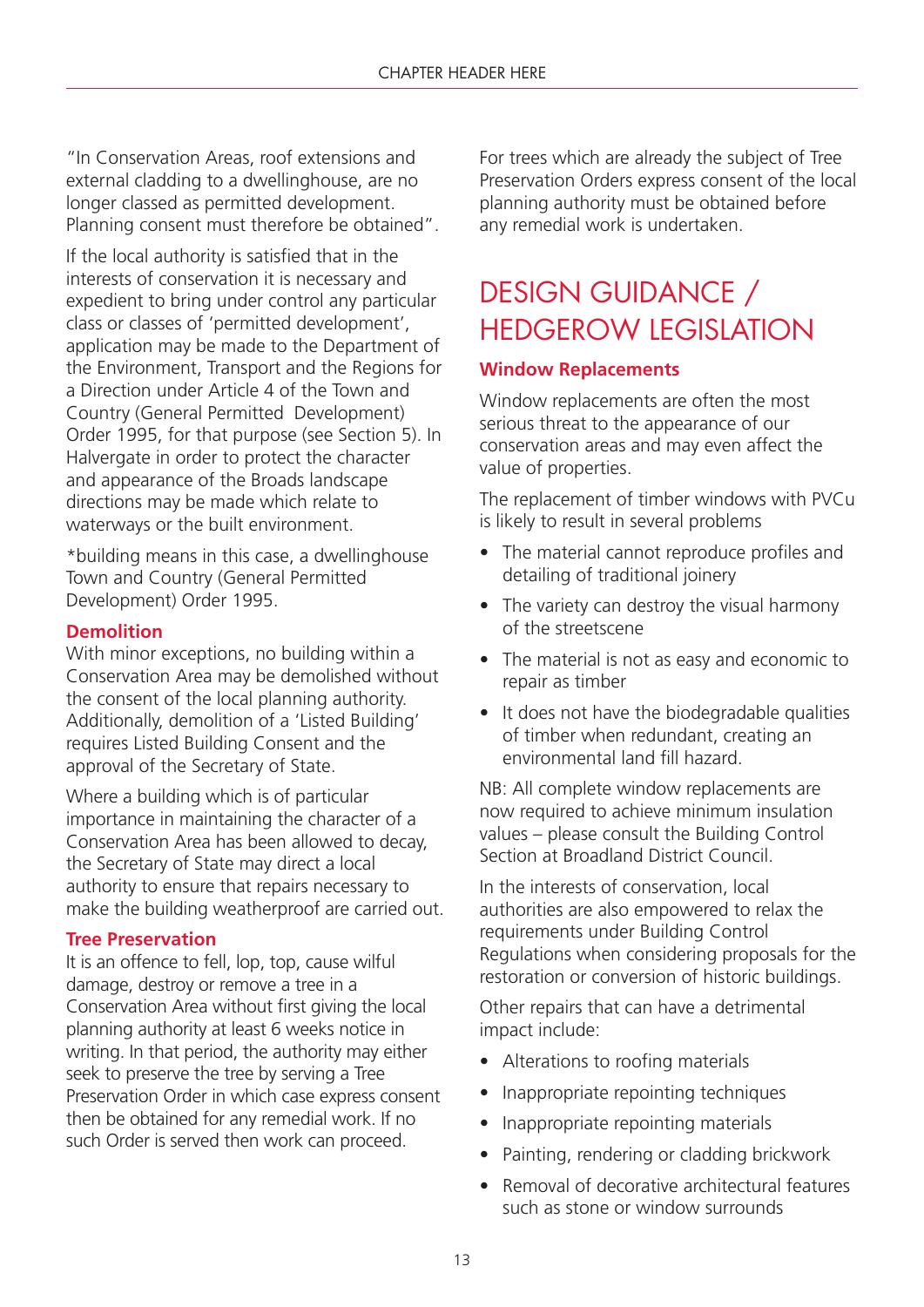"In Conservation Areas, roof extensions and external cladding to a dwellinghouse, are no longer classed as permitted development. Planning consent must therefore be obtained".

If the local authority is satisfied that in the interests of conservation it is necessary and expedient to bring under control any particular class or classes of 'permitted development', application may be made to the Department of the Environment, Transport and the Regions for a Direction under Article 4 of the Town and Country (General Permitted Development) Order 1995, for that purpose (see Section 5). In Halvergate in order to protect the character and appearance of the Broads landscape directions may be made which relate to waterways or the built environment.

\*building means in this case, a dwellinghouse Town and Country (General Permitted Development) Order 1995.

#### **Demolition**

With minor exceptions, no building within a Conservation Area may be demolished without the consent of the local planning authority. Additionally, demolition of a 'Listed Building' requires Listed Building Consent and the approval of the Secretary of State.

Where a building which is of particular importance in maintaining the character of a Conservation Area has been allowed to decay, the Secretary of State may direct a local authority to ensure that repairs necessary to make the building weatherproof are carried out.

#### **Tree Preservation**

It is an offence to fell, lop, top, cause wilful damage, destroy or remove a tree in a Conservation Area without first giving the local planning authority at least 6 weeks notice in writing. In that period, the authority may either seek to preserve the tree by serving a Tree Preservation Order in which case express consent then be obtained for any remedial work. If no such Order is served then work can proceed.

For trees which are already the subject of Tree Preservation Orders express consent of the local planning authority must be obtained before any remedial work is undertaken.

### DESIGN GUIDANCE / HEDGEROW LEGISLATION

#### **Window Replacements**

Window replacements are often the most serious threat to the appearance of our conservation areas and may even affect the value of properties.

The replacement of timber windows with PVCu is likely to result in several problems

- The material cannot reproduce profiles and detailing of traditional joinery
- The variety can destroy the visual harmony of the streetscene
- The material is not as easy and economic to repair as timber
- It does not have the biodegradable qualities of timber when redundant, creating an environmental land fill hazard.

NB: All complete window replacements are now required to achieve minimum insulation values – please consult the Building Control Section at Broadland District Council.

In the interests of conservation, local authorities are also empowered to relax the requirements under Building Control Regulations when considering proposals for the restoration or conversion of historic buildings.

Other repairs that can have a detrimental impact include:

- Alterations to roofing materials
- Inappropriate repointing techniques
- Inappropriate repointing materials
- Painting, rendering or cladding brickwork
- Removal of decorative architectural features such as stone or window surrounds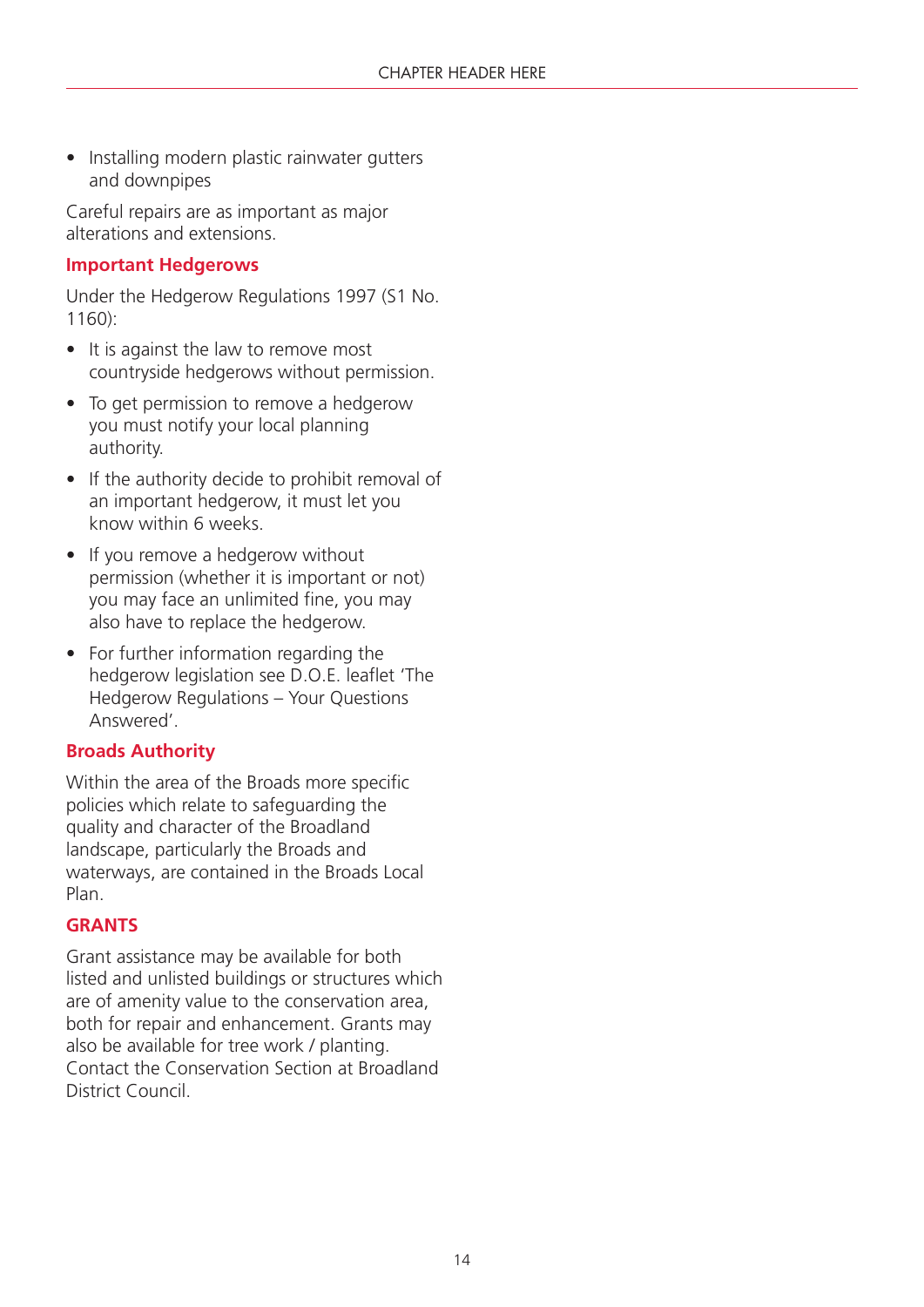• Installing modern plastic rainwater gutters and downpipes

Careful repairs are as important as major alterations and extensions.

### **Important Hedgerows**

Under the Hedgerow Regulations 1997 (S1 No.  $1160$ 

- It is against the law to remove most countryside hedgerows without permission.
- To get permission to remove a hedgerow you must notify your local planning authority.
- If the authority decide to prohibit removal of an important hedgerow, it must let you know within 6 weeks.
- If you remove a hedgerow without permission (whether it is important or not) you may face an unlimited fine, you may also have to replace the hedgerow.
- For further information regarding the hedgerow legislation see D.O.E. leaflet 'The Hedgerow Regulations – Your Questions Answered'.

### **Broads Authority**

Within the area of the Broads more specific policies which relate to safeguarding the quality and character of the Broadland landscape, particularly the Broads and waterways, are contained in the Broads Local Plan.

### **GRANTS**

Grant assistance may be available for both listed and unlisted buildings or structures which are of amenity value to the conservation area, both for repair and enhancement. Grants may also be available for tree work / planting. Contact the Conservation Section at Broadland District Council.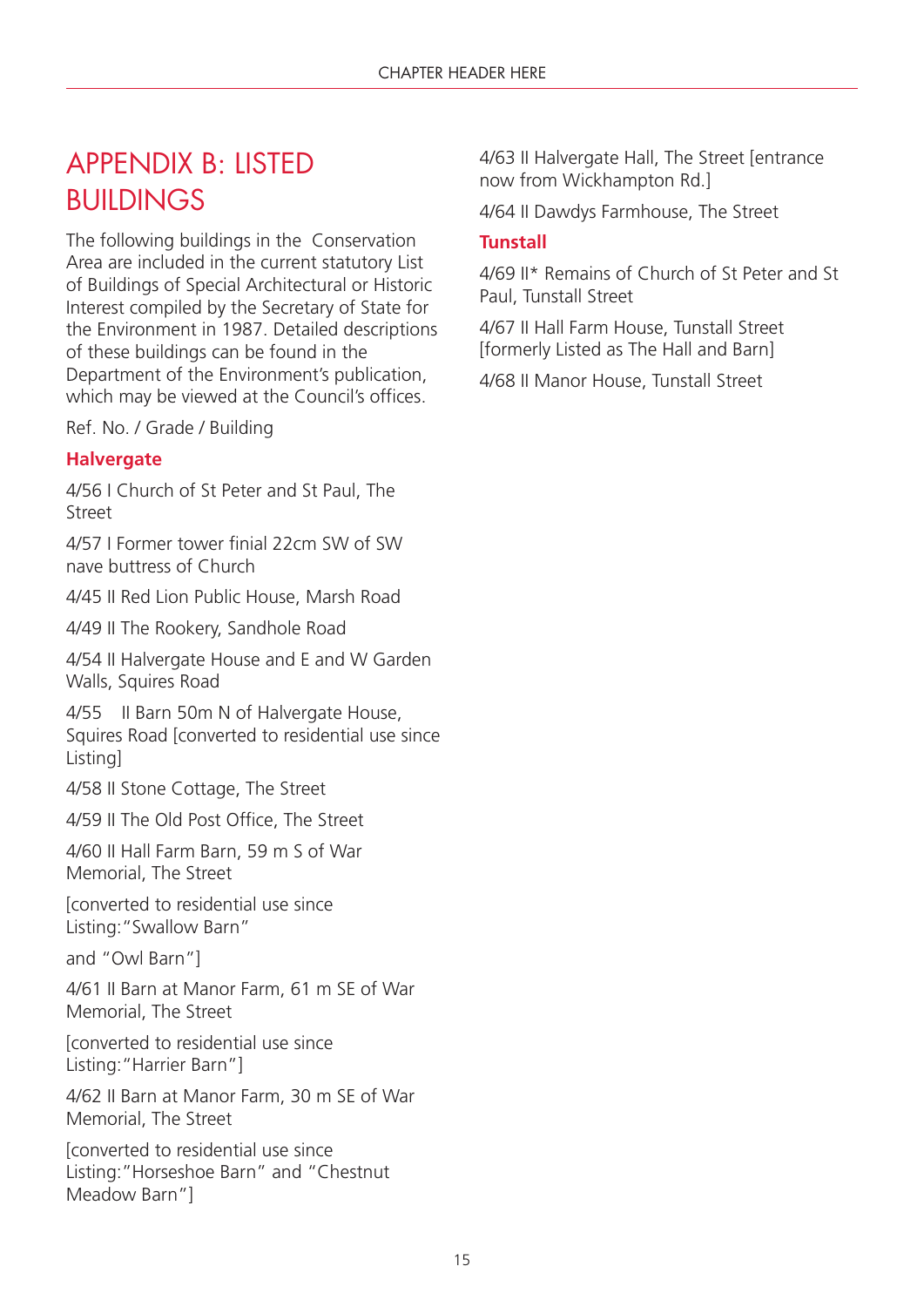### APPENDIX B: LISTED **BUILDINGS**

The following buildings in the Conservation Area are included in the current statutory List of Buildings of Special Architectural or Historic Interest compiled by the Secretary of State for the Environment in 1987. Detailed descriptions of these buildings can be found in the Department of the Environment's publication, which may be viewed at the Council's offices.

Ref. No. / Grade / Building

### **Halvergate**

4/56 I Church of St Peter and St Paul, The Street

4/57 I Former tower finial 22cm SW of SW nave buttress of Church

4/45 II Red Lion Public House, Marsh Road

4/49 II The Rookery, Sandhole Road

4/54 II Halvergate House and E and W Garden Walls, Squires Road

4/55 II Barn 50m N of Halvergate House, Squires Road [converted to residential use since Listing]

4/58 II Stone Cottage, The Street

4/59 II The Old Post Office, The Street

4/60 II Hall Farm Barn, 59 m S of War Memorial, The Street

[converted to residential use since Listing:"Swallow Barn"

and "Owl Barn"]

4/61 II Barn at Manor Farm, 61 m SE of War Memorial, The Street

[converted to residential use since Listing:"Harrier Barn"]

4/62 II Barn at Manor Farm, 30 m SE of War Memorial, The Street

[converted to residential use since Listing:"Horseshoe Barn" and "Chestnut Meadow Barn"]

4/63 II Halvergate Hall, The Street [entrance now from Wickhampton Rd.]

4/64 II Dawdys Farmhouse, The Street

### **Tunstall**

4/69 II\* Remains of Church of St Peter and St Paul, Tunstall Street

4/67 II Hall Farm House, Tunstall Street [formerly Listed as The Hall and Barn]

4/68 II Manor House, Tunstall Street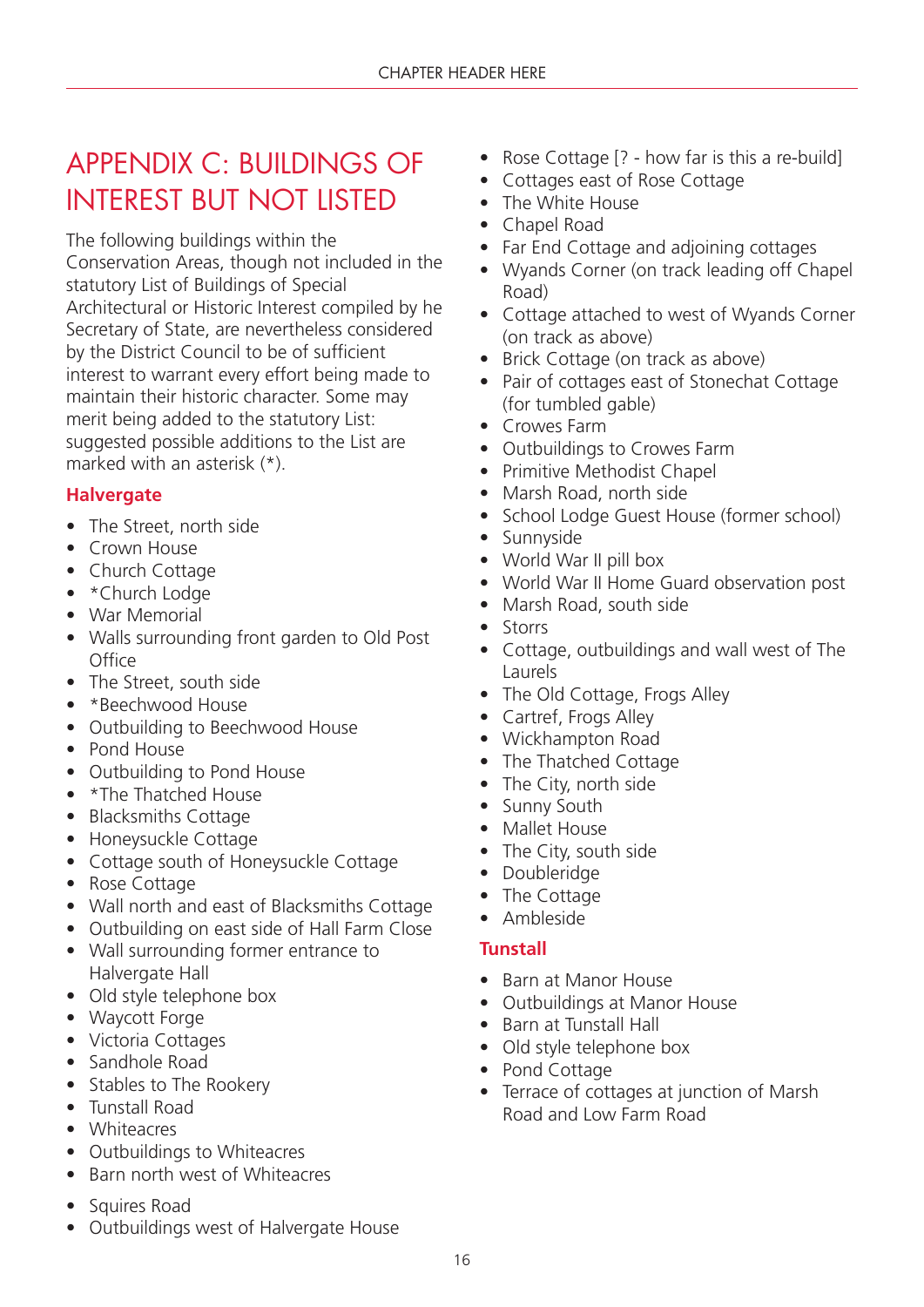### APPENDIX C: BUILDINGS OF INTEREST BUT NOT LISTED

The following buildings within the Conservation Areas, though not included in the statutory List of Buildings of Special Architectural or Historic Interest compiled by he Secretary of State, are nevertheless considered by the District Council to be of sufficient interest to warrant every effort being made to maintain their historic character. Some may merit being added to the statutory List: suggested possible additions to the List are marked with an asterisk (\*).

### **Halvergate**

- The Street, north side
- Crown House
- Church Cottage
- \* Church Lodge
- War Memorial
- Walls surrounding front garden to Old Post **Office**
- The Street, south side
- \*Beechwood House
- Outbuilding to Beechwood House
- Pond House
- Outbuilding to Pond House
- \*The Thatched House
- Blacksmiths Cottage
- Honeysuckle Cottage
- Cottage south of Honeysuckle Cottage
- Rose Cottage
- Wall north and east of Blacksmiths Cottage
- Outbuilding on east side of Hall Farm Close
- Wall surrounding former entrance to Halvergate Hall
- Old style telephone box
- Waycott Forge
- Victoria Cottages
- Sandhole Road
- Stables to The Rookery
- Tunstall Road
- Whiteacres
- Outbuildings to Whiteacres
- Barn north west of Whiteacres
- Squires Road
- Outbuildings west of Halvergate House
- Rose Cottage [? how far is this a re-build]
- Cottages east of Rose Cottage
- The White House
- Chapel Road
- Far End Cottage and adjoining cottages
- Wyands Corner (on track leading off Chapel Road)
- Cottage attached to west of Wyands Corner (on track as above)
- Brick Cottage (on track as above)
- Pair of cottages east of Stonechat Cottage (for tumbled gable)
- Crowes Farm
- Outbuildings to Crowes Farm
- Primitive Methodist Chapel
- Marsh Road, north side
- School Lodge Guest House (former school)
- Sunnyside
- World War II pill box
- World War II Home Guard observation post
- Marsh Road, south side
- Storrs
- Cottage, outbuildings and wall west of The Laurels
- The Old Cottage, Frogs Alley
- Cartref, Frogs Alley
- Wickhampton Road
- The Thatched Cottage
- The City, north side
- Sunny South
- Mallet House
- The City, south side
- Doubleridge
- The Cottage
- Ambleside

### **Tunstall**

- Barn at Manor House
- Outbuildings at Manor House
- Barn at Tunstall Hall
- Old style telephone box
- Pond Cottage
- Terrace of cottages at junction of Marsh Road and Low Farm Road